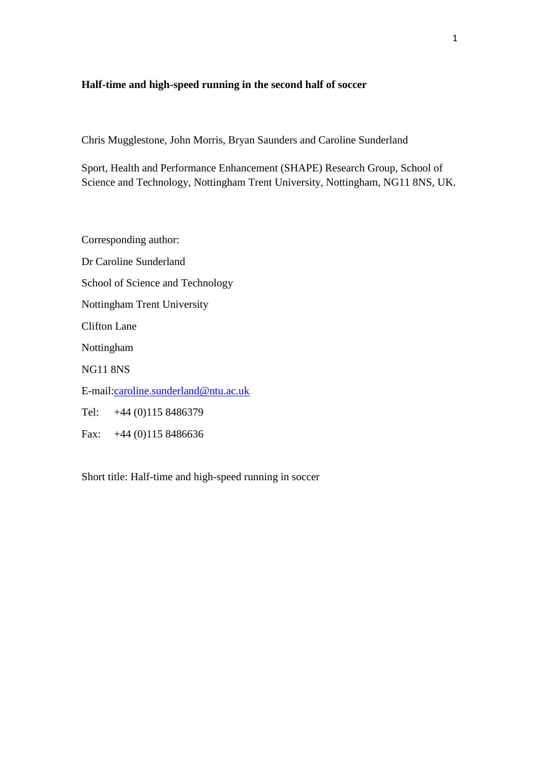# **Half-time and high-speed running in the second half of soccer**

Chris Mugglestone, John Morris, Bryan Saunders and Caroline Sunderland

Sport, Health and Performance Enhancement (SHAPE) Research Group, School of Science and Technology, Nottingham Trent University, Nottingham, NG11 8NS, UK.

Corresponding author: Dr Caroline Sunderland School of Science and Technology Nottingham Trent University Clifton Lane Nottingham NG11 8NS E-mail[:caroline.sunderland@ntu.ac.uk](mailto:caroline.sunderland@ntu.ac.uk) Tel: +44 (0)115 8486379 Fax: +44 (0)115 8486636

Short title: Half-time and high-speed running in soccer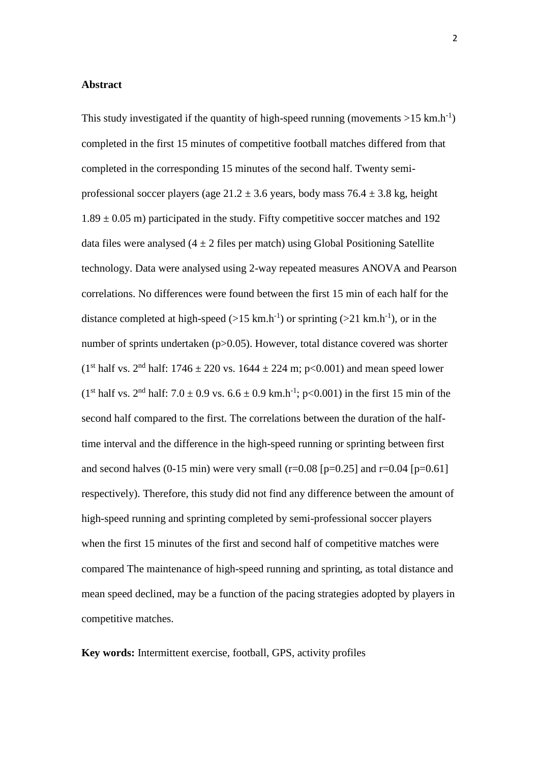## **Abstract**

This study investigated if the quantity of high-speed running (movements  $>15$  km.h<sup>-1</sup>) completed in the first 15 minutes of competitive football matches differed from that completed in the corresponding 15 minutes of the second half. Twenty semiprofessional soccer players (age  $21.2 \pm 3.6$  years, body mass  $76.4 \pm 3.8$  kg, height  $1.89 \pm 0.05$  m) participated in the study. Fifty competitive soccer matches and 192 data files were analysed  $(4 \pm 2)$  files per match) using Global Positioning Satellite technology. Data were analysed using 2-way repeated measures ANOVA and Pearson correlations. No differences were found between the first 15 min of each half for the distance completed at high-speed  $(>15 \text{ km.h}^{-1})$  or sprinting  $(>21 \text{ km.h}^{-1})$ , or in the number of sprints undertaken (p>0.05). However, total distance covered was shorter (1<sup>st</sup> half vs. 2<sup>nd</sup> half: 1746  $\pm$  220 vs. 1644  $\pm$  224 m; p<0.001) and mean speed lower  $(1<sup>st</sup> half vs. 2<sup>nd</sup> half: 7.0 ± 0.9 vs. 6.6 ± 0.9 km.h<sup>-1</sup>; p<0.001) in the first 15 min of the$ second half compared to the first. The correlations between the duration of the halftime interval and the difference in the high-speed running or sprinting between first and second halves (0-15 min) were very small (r=0.08 [p=0.25] and r=0.04 [p=0.61] respectively). Therefore, this study did not find any difference between the amount of high-speed running and sprinting completed by semi-professional soccer players when the first 15 minutes of the first and second half of competitive matches were compared The maintenance of high-speed running and sprinting, as total distance and mean speed declined, may be a function of the pacing strategies adopted by players in competitive matches.

**Key words:** Intermittent exercise, football, GPS, activity profiles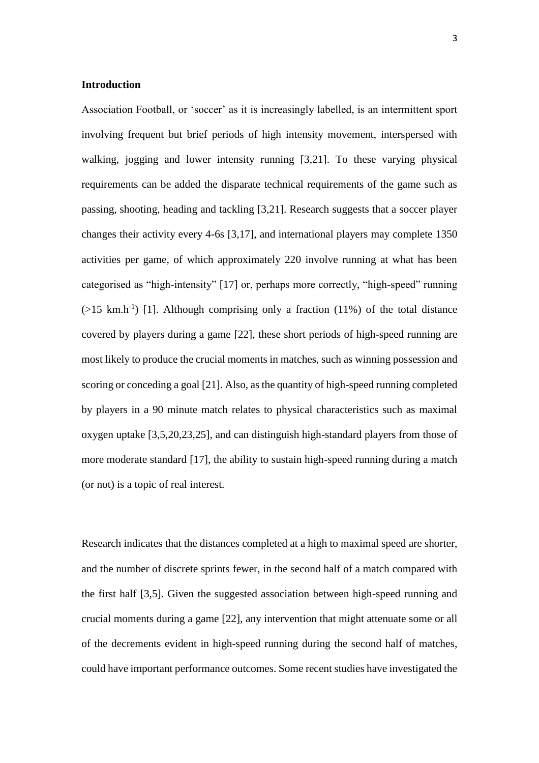### **Introduction**

Association Football, or 'soccer' as it is increasingly labelled, is an intermittent sport involving frequent but brief periods of high intensity movement, interspersed with walking, jogging and lower intensity running [3,21]. To these varying physical requirements can be added the disparate technical requirements of the game such as passing, shooting, heading and tackling [3,21]. Research suggests that a soccer player changes their activity every 4-6s [3,17], and international players may complete 1350 activities per game, of which approximately 220 involve running at what has been categorised as "high-intensity" [17] or, perhaps more correctly, "high-speed" running  $($ >15 km.h<sup>-1</sup>) [1]. Although comprising only a fraction (11%) of the total distance covered by players during a game [22], these short periods of high-speed running are most likely to produce the crucial moments in matches, such as winning possession and scoring or conceding a goal [21]. Also, as the quantity of high-speed running completed by players in a 90 minute match relates to physical characteristics such as maximal oxygen uptake [3,5,20,23,25], and can distinguish high-standard players from those of more moderate standard [17], the ability to sustain high-speed running during a match (or not) is a topic of real interest.

Research indicates that the distances completed at a high to maximal speed are shorter, and the number of discrete sprints fewer, in the second half of a match compared with the first half [3,5]. Given the suggested association between high-speed running and crucial moments during a game [22], any intervention that might attenuate some or all of the decrements evident in high-speed running during the second half of matches, could have important performance outcomes. Some recent studies have investigated the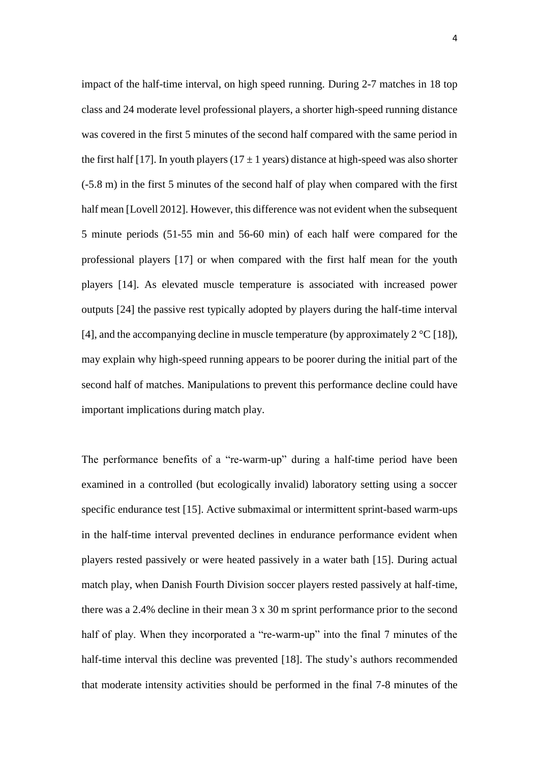impact of the half-time interval, on high speed running. During 2-7 matches in 18 top class and 24 moderate level professional players, a shorter high-speed running distance was covered in the first 5 minutes of the second half compared with the same period in the first half [17]. In youth players ( $17 \pm 1$  years) distance at high-speed was also shorter (-5.8 m) in the first 5 minutes of the second half of play when compared with the first half mean [Lovell 2012]. However, this difference was not evident when the subsequent 5 minute periods (51-55 min and 56-60 min) of each half were compared for the professional players [17] or when compared with the first half mean for the youth players [14]. As elevated muscle temperature is associated with increased power outputs [24] the passive rest typically adopted by players during the half-time interval [4], and the accompanying decline in muscle temperature (by approximately  $2^{\circ}C$  [18]), may explain why high-speed running appears to be poorer during the initial part of the second half of matches. Manipulations to prevent this performance decline could have important implications during match play.

The performance benefits of a "re-warm-up" during a half-time period have been examined in a controlled (but ecologically invalid) laboratory setting using a soccer specific endurance test [15]. Active submaximal or intermittent sprint-based warm-ups in the half-time interval prevented declines in endurance performance evident when players rested passively or were heated passively in a water bath [15]. During actual match play, when Danish Fourth Division soccer players rested passively at half-time, there was a 2.4% decline in their mean 3 x 30 m sprint performance prior to the second half of play. When they incorporated a "re-warm-up" into the final 7 minutes of the half-time interval this decline was prevented [18]. The study's authors recommended that moderate intensity activities should be performed in the final 7-8 minutes of the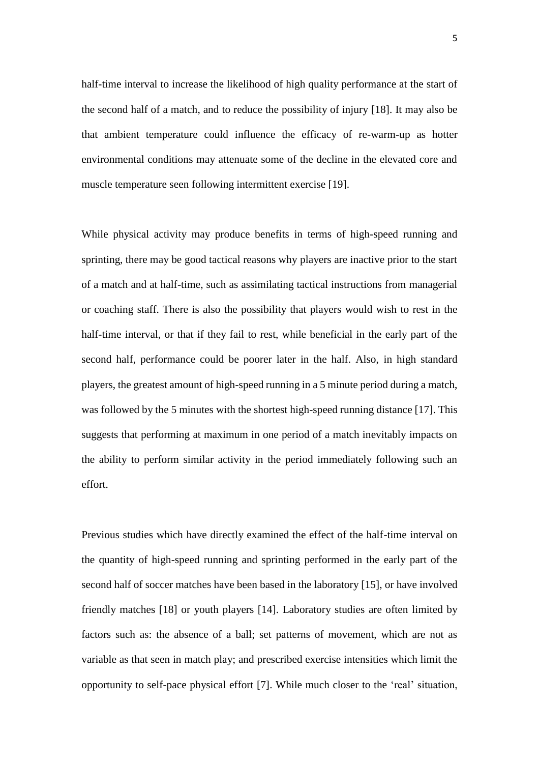half-time interval to increase the likelihood of high quality performance at the start of the second half of a match, and to reduce the possibility of injury [18]. It may also be that ambient temperature could influence the efficacy of re-warm-up as hotter environmental conditions may attenuate some of the decline in the elevated core and muscle temperature seen following intermittent exercise [19].

While physical activity may produce benefits in terms of high-speed running and sprinting, there may be good tactical reasons why players are inactive prior to the start of a match and at half-time, such as assimilating tactical instructions from managerial or coaching staff. There is also the possibility that players would wish to rest in the half-time interval, or that if they fail to rest, while beneficial in the early part of the second half, performance could be poorer later in the half. Also, in high standard players, the greatest amount of high-speed running in a 5 minute period during a match, was followed by the 5 minutes with the shortest high-speed running distance [17]. This suggests that performing at maximum in one period of a match inevitably impacts on the ability to perform similar activity in the period immediately following such an effort.

Previous studies which have directly examined the effect of the half-time interval on the quantity of high-speed running and sprinting performed in the early part of the second half of soccer matches have been based in the laboratory [15], or have involved friendly matches [18] or youth players [14]. Laboratory studies are often limited by factors such as: the absence of a ball; set patterns of movement, which are not as variable as that seen in match play; and prescribed exercise intensities which limit the opportunity to self-pace physical effort [7]. While much closer to the 'real' situation,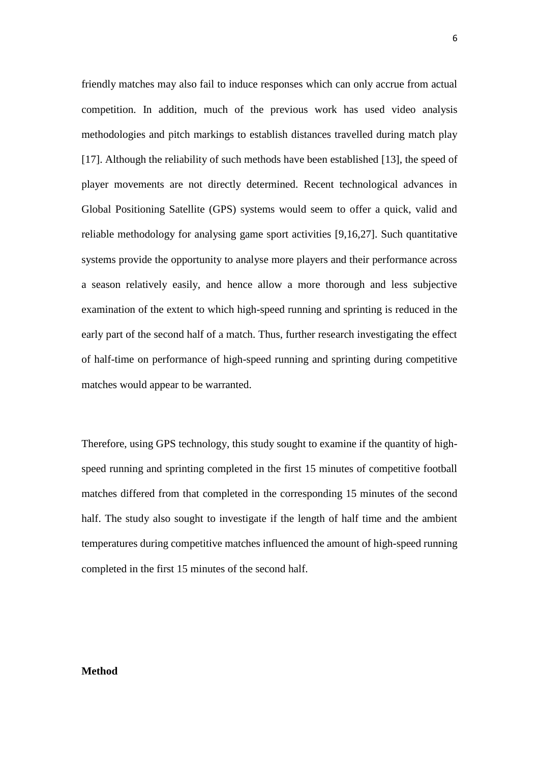friendly matches may also fail to induce responses which can only accrue from actual competition. In addition, much of the previous work has used video analysis methodologies and pitch markings to establish distances travelled during match play [17]. Although the reliability of such methods have been established [13], the speed of player movements are not directly determined. Recent technological advances in Global Positioning Satellite (GPS) systems would seem to offer a quick, valid and reliable methodology for analysing game sport activities [9,16,27]. Such quantitative systems provide the opportunity to analyse more players and their performance across a season relatively easily, and hence allow a more thorough and less subjective examination of the extent to which high-speed running and sprinting is reduced in the early part of the second half of a match. Thus, further research investigating the effect of half-time on performance of high-speed running and sprinting during competitive matches would appear to be warranted.

Therefore, using GPS technology, this study sought to examine if the quantity of highspeed running and sprinting completed in the first 15 minutes of competitive football matches differed from that completed in the corresponding 15 minutes of the second half. The study also sought to investigate if the length of half time and the ambient temperatures during competitive matches influenced the amount of high-speed running completed in the first 15 minutes of the second half.

#### **Method**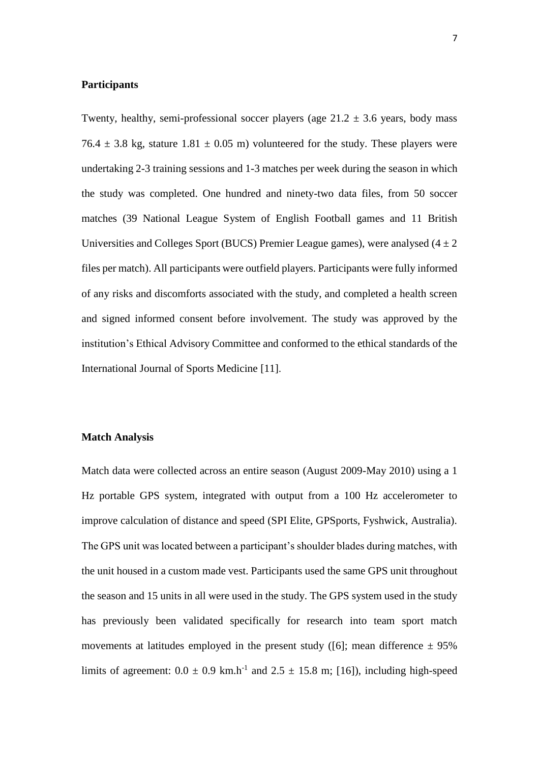# **Participants**

Twenty, healthy, semi-professional soccer players (age  $21.2 \pm 3.6$  years, body mass 76.4  $\pm$  3.8 kg, stature 1.81  $\pm$  0.05 m) volunteered for the study. These players were undertaking 2-3 training sessions and 1-3 matches per week during the season in which the study was completed. One hundred and ninety-two data files, from 50 soccer matches (39 National League System of English Football games and 11 British Universities and Colleges Sport (BUCS) Premier League games), were analysed  $(4 \pm 2)$ files per match). All participants were outfield players. Participants were fully informed of any risks and discomforts associated with the study, and completed a health screen and signed informed consent before involvement. The study was approved by the institution's Ethical Advisory Committee and conformed to the ethical standards of the International Journal of Sports Medicine [11].

### **Match Analysis**

Match data were collected across an entire season (August 2009-May 2010) using a 1 Hz portable GPS system, integrated with output from a 100 Hz accelerometer to improve calculation of distance and speed (SPI Elite, GPSports, Fyshwick, Australia). The GPS unit was located between a participant's shoulder blades during matches, with the unit housed in a custom made vest. Participants used the same GPS unit throughout the season and 15 units in all were used in the study. The GPS system used in the study has previously been validated specifically for research into team sport match movements at latitudes employed in the present study ([6]; mean difference  $\pm$  95% limits of agreement:  $0.0 \pm 0.9$  km.h<sup>-1</sup> and  $2.5 \pm 15.8$  m; [16]), including high-speed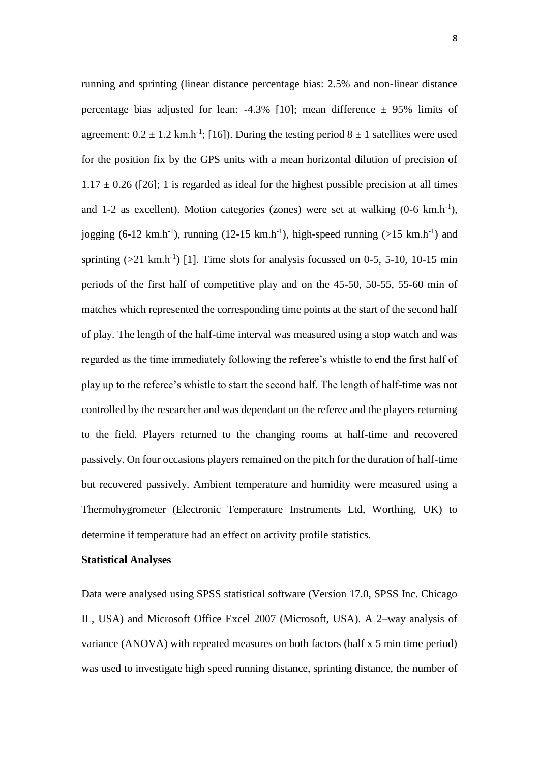running and sprinting (linear distance percentage bias: 2.5% and non-linear distance percentage bias adjusted for lean:  $-4.3\%$  [10]; mean difference  $\pm$  95% limits of agreement:  $0.2 \pm 1.2$  km.h<sup>-1</sup>; [16]). During the testing period  $8 \pm 1$  satellites were used for the position fix by the GPS units with a mean horizontal dilution of precision of  $1.17 \pm 0.26$  ([26]; 1 is regarded as ideal for the highest possible precision at all times and 1-2 as excellent). Motion categories (zones) were set at walking  $(0-6 \text{ km.h}^{-1})$ , jogging (6-12 km.h<sup>-1</sup>), running (12-15 km.h<sup>-1</sup>), high-speed running (>15 km.h<sup>-1</sup>) and sprinting  $(>21 \text{ km.h}^{-1})$  [1]. Time slots for analysis focussed on 0-5, 5-10, 10-15 min periods of the first half of competitive play and on the 45-50, 50-55, 55-60 min of matches which represented the corresponding time points at the start of the second half of play. The length of the half-time interval was measured using a stop watch and was regarded as the time immediately following the referee's whistle to end the first half of play up to the referee's whistle to start the second half. The length of half-time was not controlled by the researcher and was dependant on the referee and the players returning to the field. Players returned to the changing rooms at half-time and recovered passively. On four occasions players remained on the pitch for the duration of half-time but recovered passively. Ambient temperature and humidity were measured using a Thermohygrometer (Electronic Temperature Instruments Ltd, Worthing, UK) to determine if temperature had an effect on activity profile statistics.

### **Statistical Analyses**

Data were analysed using SPSS statistical software (Version 17.0, SPSS Inc. Chicago IL, USA) and Microsoft Office Excel 2007 (Microsoft, USA). A 2–way analysis of variance (ANOVA) with repeated measures on both factors (half x 5 min time period) was used to investigate high speed running distance, sprinting distance, the number of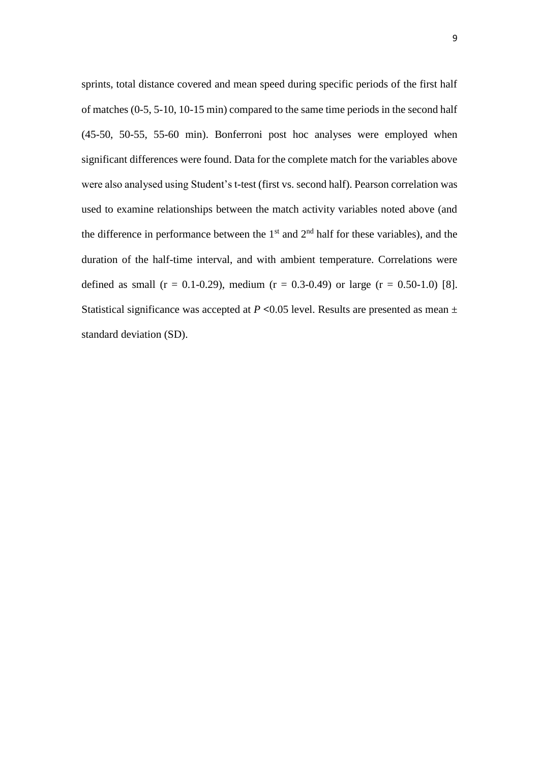sprints, total distance covered and mean speed during specific periods of the first half of matches (0-5, 5-10, 10-15 min) compared to the same time periods in the second half (45-50, 50-55, 55-60 min). Bonferroni post hoc analyses were employed when significant differences were found. Data for the complete match for the variables above were also analysed using Student's t-test (first vs. second half). Pearson correlation was used to examine relationships between the match activity variables noted above (and the difference in performance between the  $1<sup>st</sup>$  and  $2<sup>nd</sup>$  half for these variables), and the duration of the half-time interval, and with ambient temperature. Correlations were defined as small ( $r = 0.1$ -0.29), medium ( $r = 0.3$ -0.49) or large ( $r = 0.50$ -1.0) [8]. Statistical significance was accepted at  $P \le 0.05$  level. Results are presented as mean  $\pm$ standard deviation (SD).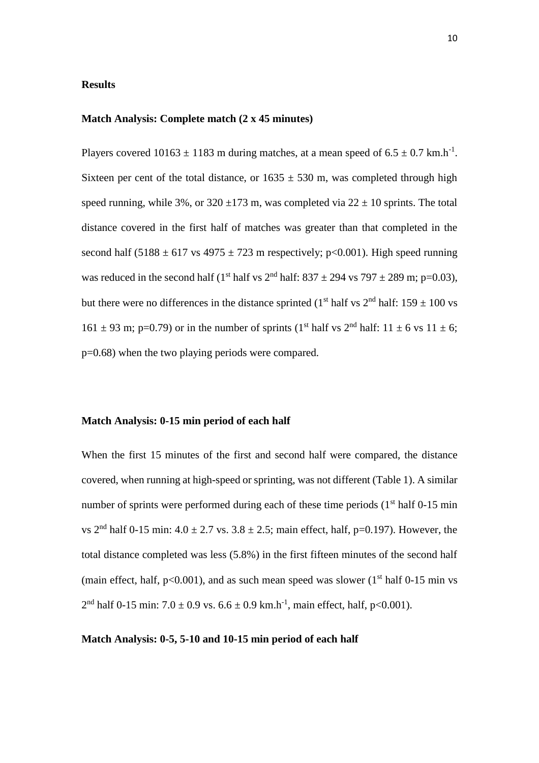# **Results**

### **Match Analysis: Complete match (2 x 45 minutes)**

Players covered  $10163 \pm 1183$  m during matches, at a mean speed of  $6.5 \pm 0.7$  km.h<sup>-1</sup>. Sixteen per cent of the total distance, or  $1635 \pm 530$  m, was completed through high speed running, while 3%, or  $320 \pm 173$  m, was completed via  $22 \pm 10$  sprints. The total distance covered in the first half of matches was greater than that completed in the second half (5188  $\pm$  617 vs 4975  $\pm$  723 m respectively; p<0.001). High speed running was reduced in the second half (1<sup>st</sup> half vs  $2<sup>nd</sup>$  half:  $837 \pm 294$  vs  $797 \pm 289$  m; p=0.03), but there were no differences in the distance sprinted (1<sup>st</sup> half vs  $2<sup>nd</sup>$  half: 159  $\pm$  100 vs  $161 \pm 93$  m; p=0.79) or in the number of sprints (1<sup>st</sup> half vs  $2<sup>nd</sup>$  half:  $11 \pm 6$  vs  $11 \pm 6$ ; p=0.68) when the two playing periods were compared.

# **Match Analysis: 0-15 min period of each half**

When the first 15 minutes of the first and second half were compared, the distance covered, when running at high-speed or sprinting, was not different (Table 1). A similar number of sprints were performed during each of these time periods  $(1<sup>st</sup> half 0-15 min)$ vs  $2<sup>nd</sup>$  half 0-15 min:  $4.0 \pm 2.7$  vs.  $3.8 \pm 2.5$ ; main effect, half, p=0.197). However, the total distance completed was less (5.8%) in the first fifteen minutes of the second half (main effect, half,  $p<0.001$ ), and as such mean speed was slower ( $1<sup>st</sup>$  half 0-15 min vs  $2<sup>nd</sup>$  half 0-15 min: 7.0  $\pm$  0.9 vs. 6.6  $\pm$  0.9 km.h<sup>-1</sup>, main effect, half, p<0.001).

### **Match Analysis: 0-5, 5-10 and 10-15 min period of each half**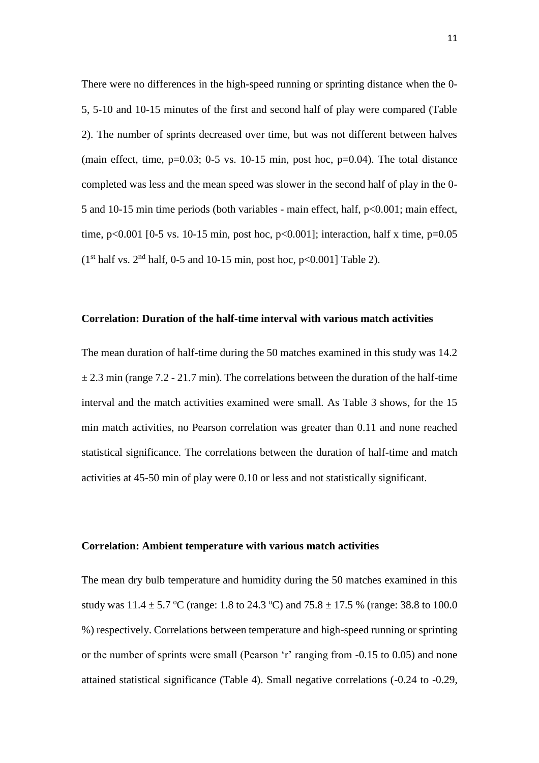There were no differences in the high-speed running or sprinting distance when the 0- 5, 5-10 and 10-15 minutes of the first and second half of play were compared (Table 2). The number of sprints decreased over time, but was not different between halves (main effect, time,  $p=0.03$ ; 0-5 vs. 10-15 min, post hoc,  $p=0.04$ ). The total distance completed was less and the mean speed was slower in the second half of play in the 0- 5 and 10-15 min time periods (both variables - main effect, half, p<0.001; main effect, time, p $\leq 0.001$  [0-5 vs. 10-15 min, post hoc, p $\leq 0.001$ ]; interaction, half x time, p=0.05  $(1<sup>st</sup> half vs. 2<sup>nd</sup> half, 0-5 and 10-15 min, post hoc, p<0.001] Table 2).$ 

### **Correlation: Duration of the half-time interval with various match activities**

The mean duration of half-time during the 50 matches examined in this study was 14.2  $\pm$  2.3 min (range 7.2 - 21.7 min). The correlations between the duration of the half-time interval and the match activities examined were small. As Table 3 shows, for the 15 min match activities, no Pearson correlation was greater than 0.11 and none reached statistical significance. The correlations between the duration of half-time and match activities at 45-50 min of play were 0.10 or less and not statistically significant.

#### **Correlation: Ambient temperature with various match activities**

The mean dry bulb temperature and humidity during the 50 matches examined in this study was  $11.4 \pm 5.7$  °C (range: 1.8 to 24.3 °C) and 75.8  $\pm$  17.5 % (range: 38.8 to 100.0 %) respectively. Correlations between temperature and high-speed running or sprinting or the number of sprints were small (Pearson 'r' ranging from -0.15 to 0.05) and none attained statistical significance (Table 4). Small negative correlations (-0.24 to -0.29,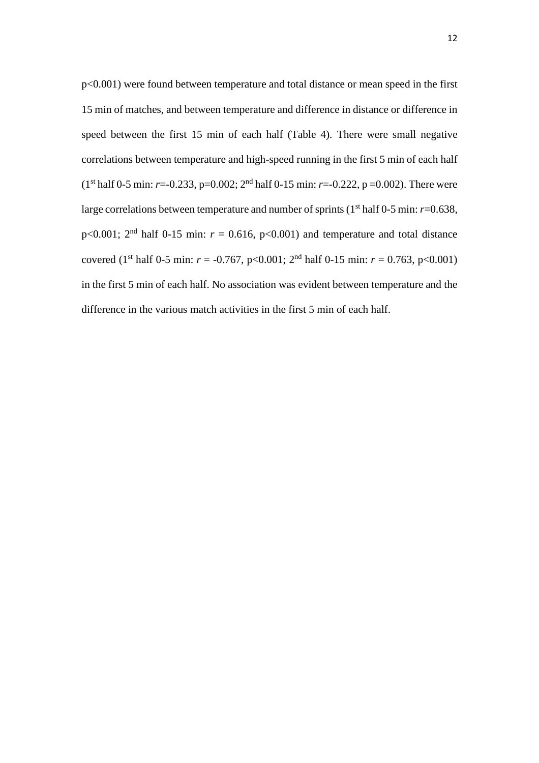p<0.001) were found between temperature and total distance or mean speed in the first 15 min of matches, and between temperature and difference in distance or difference in speed between the first 15 min of each half (Table 4). There were small negative correlations between temperature and high-speed running in the first 5 min of each half (1<sup>st</sup> half 0-5 min: *r*=-0.233, p=0.002; 2<sup>nd</sup> half 0-15 min: *r*=-0.222, p =0.002). There were large correlations between temperature and number of sprints (1<sup>st</sup> half 0-5 min: *r*=0.638,  $p<0.001$ ;  $2<sup>nd</sup>$  half 0-15 min:  $r = 0.616$ ,  $p<0.001$ ) and temperature and total distance covered (1<sup>st</sup> half 0-5 min:  $r = -0.767$ , p<0.001; 2<sup>nd</sup> half 0-15 min:  $r = 0.763$ , p<0.001) in the first 5 min of each half. No association was evident between temperature and the difference in the various match activities in the first 5 min of each half.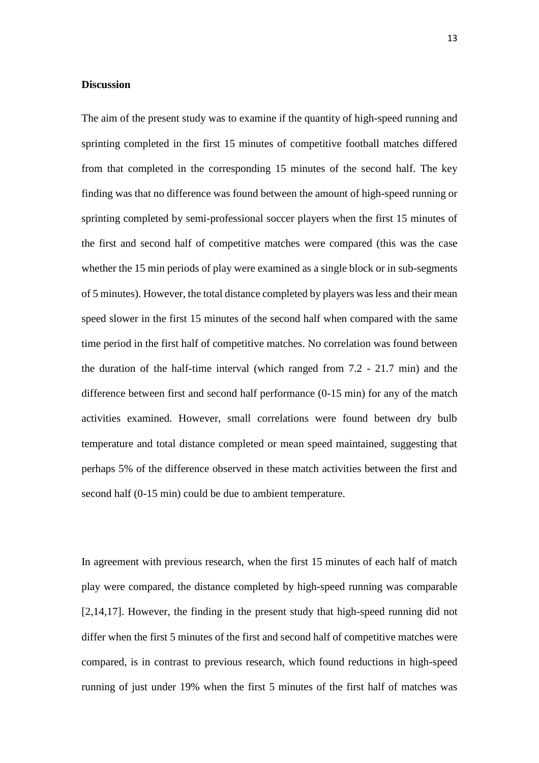### **Discussion**

The aim of the present study was to examine if the quantity of high-speed running and sprinting completed in the first 15 minutes of competitive football matches differed from that completed in the corresponding 15 minutes of the second half. The key finding was that no difference was found between the amount of high-speed running or sprinting completed by semi-professional soccer players when the first 15 minutes of the first and second half of competitive matches were compared (this was the case whether the 15 min periods of play were examined as a single block or in sub-segments of 5 minutes). However, the total distance completed by players was less and their mean speed slower in the first 15 minutes of the second half when compared with the same time period in the first half of competitive matches. No correlation was found between the duration of the half-time interval (which ranged from 7.2 - 21.7 min) and the difference between first and second half performance (0-15 min) for any of the match activities examined. However, small correlations were found between dry bulb temperature and total distance completed or mean speed maintained, suggesting that perhaps 5% of the difference observed in these match activities between the first and second half (0-15 min) could be due to ambient temperature.

In agreement with previous research, when the first 15 minutes of each half of match play were compared, the distance completed by high-speed running was comparable [2,14,17]. However, the finding in the present study that high-speed running did not differ when the first 5 minutes of the first and second half of competitive matches were compared, is in contrast to previous research, which found reductions in high-speed running of just under 19% when the first 5 minutes of the first half of matches was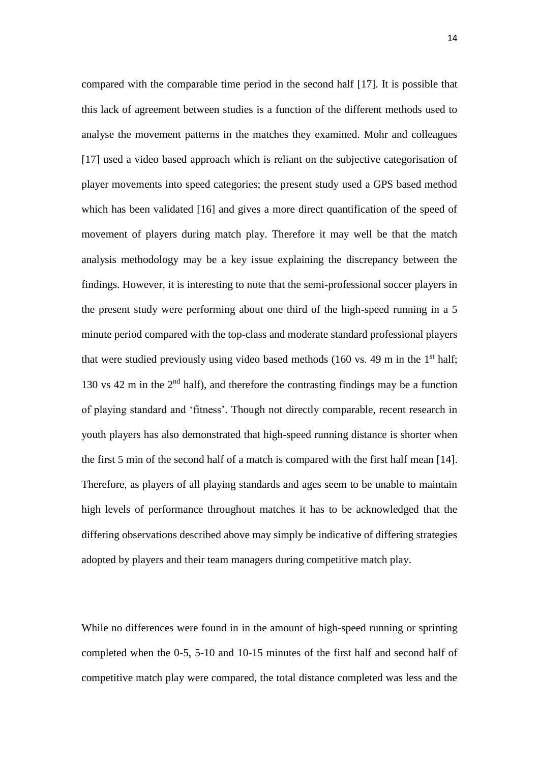compared with the comparable time period in the second half [17]. It is possible that this lack of agreement between studies is a function of the different methods used to analyse the movement patterns in the matches they examined. Mohr and colleagues [17] used a video based approach which is reliant on the subjective categorisation of player movements into speed categories; the present study used a GPS based method which has been validated [16] and gives a more direct quantification of the speed of movement of players during match play. Therefore it may well be that the match analysis methodology may be a key issue explaining the discrepancy between the findings. However, it is interesting to note that the semi-professional soccer players in the present study were performing about one third of the high-speed running in a 5 minute period compared with the top-class and moderate standard professional players that were studied previously using video based methods (160 vs. 49 m in the  $1<sup>st</sup>$  half; 130 vs 42 m in the  $2<sup>nd</sup>$  half), and therefore the contrasting findings may be a function of playing standard and 'fitness'. Though not directly comparable, recent research in youth players has also demonstrated that high-speed running distance is shorter when the first 5 min of the second half of a match is compared with the first half mean [14]. Therefore, as players of all playing standards and ages seem to be unable to maintain high levels of performance throughout matches it has to be acknowledged that the differing observations described above may simply be indicative of differing strategies adopted by players and their team managers during competitive match play.

While no differences were found in in the amount of high-speed running or sprinting completed when the 0-5, 5-10 and 10-15 minutes of the first half and second half of competitive match play were compared, the total distance completed was less and the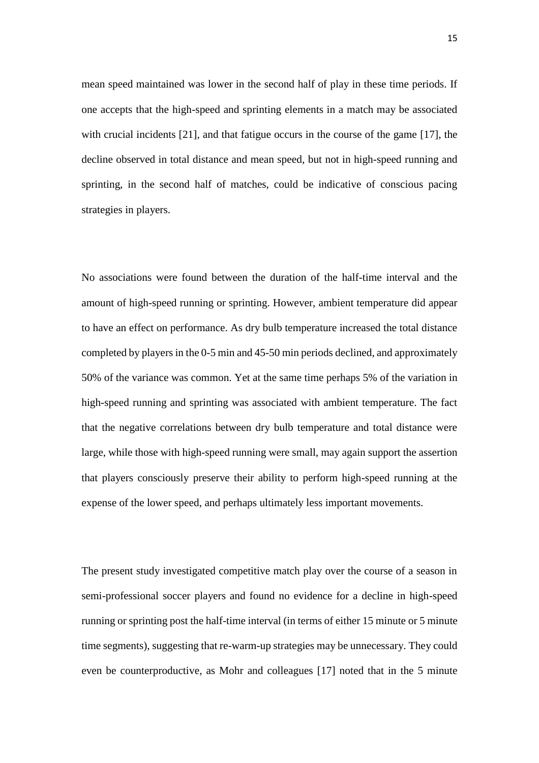mean speed maintained was lower in the second half of play in these time periods. If one accepts that the high-speed and sprinting elements in a match may be associated with crucial incidents [21], and that fatigue occurs in the course of the game [17], the decline observed in total distance and mean speed, but not in high-speed running and sprinting, in the second half of matches, could be indicative of conscious pacing strategies in players.

No associations were found between the duration of the half-time interval and the amount of high-speed running or sprinting. However, ambient temperature did appear to have an effect on performance. As dry bulb temperature increased the total distance completed by players in the 0-5 min and 45-50 min periods declined, and approximately 50% of the variance was common. Yet at the same time perhaps 5% of the variation in high-speed running and sprinting was associated with ambient temperature. The fact that the negative correlations between dry bulb temperature and total distance were large, while those with high-speed running were small, may again support the assertion that players consciously preserve their ability to perform high-speed running at the expense of the lower speed, and perhaps ultimately less important movements.

The present study investigated competitive match play over the course of a season in semi-professional soccer players and found no evidence for a decline in high-speed running or sprinting post the half-time interval (in terms of either 15 minute or 5 minute time segments), suggesting that re-warm-up strategies may be unnecessary. They could even be counterproductive, as Mohr and colleagues [17] noted that in the 5 minute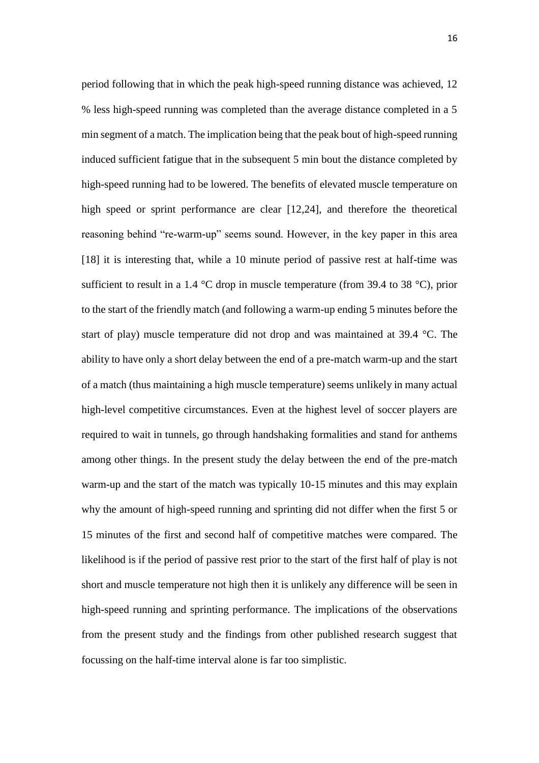period following that in which the peak high-speed running distance was achieved, 12 % less high-speed running was completed than the average distance completed in a 5 min segment of a match. The implication being that the peak bout of high-speed running induced sufficient fatigue that in the subsequent 5 min bout the distance completed by high-speed running had to be lowered. The benefits of elevated muscle temperature on high speed or sprint performance are clear [12,24], and therefore the theoretical reasoning behind "re-warm-up" seems sound. However, in the key paper in this area [18] it is interesting that, while a 10 minute period of passive rest at half-time was sufficient to result in a 1.4  $\degree$ C drop in muscle temperature (from 39.4 to 38  $\degree$ C), prior to the start of the friendly match (and following a warm-up ending 5 minutes before the start of play) muscle temperature did not drop and was maintained at 39.4 °C. The ability to have only a short delay between the end of a pre-match warm-up and the start of a match (thus maintaining a high muscle temperature) seems unlikely in many actual high-level competitive circumstances. Even at the highest level of soccer players are required to wait in tunnels, go through handshaking formalities and stand for anthems among other things. In the present study the delay between the end of the pre-match warm-up and the start of the match was typically 10-15 minutes and this may explain why the amount of high-speed running and sprinting did not differ when the first 5 or 15 minutes of the first and second half of competitive matches were compared. The likelihood is if the period of passive rest prior to the start of the first half of play is not short and muscle temperature not high then it is unlikely any difference will be seen in high-speed running and sprinting performance. The implications of the observations from the present study and the findings from other published research suggest that focussing on the half-time interval alone is far too simplistic.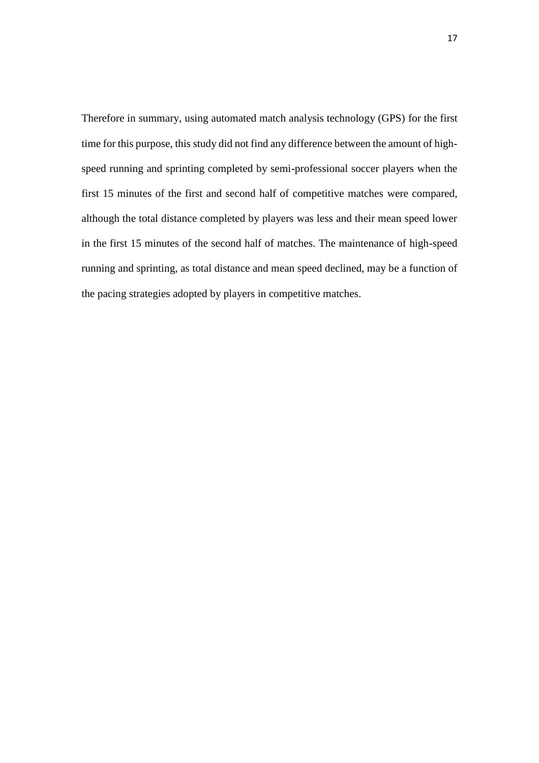Therefore in summary, using automated match analysis technology (GPS) for the first time for this purpose, this study did not find any difference between the amount of highspeed running and sprinting completed by semi-professional soccer players when the first 15 minutes of the first and second half of competitive matches were compared, although the total distance completed by players was less and their mean speed lower in the first 15 minutes of the second half of matches. The maintenance of high-speed running and sprinting, as total distance and mean speed declined, may be a function of the pacing strategies adopted by players in competitive matches.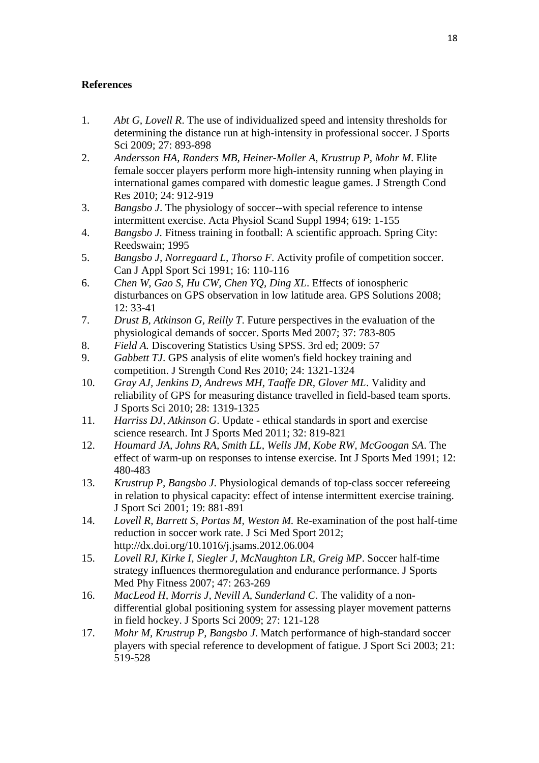# **References**

- 1. *Abt G, Lovell R*. The use of individualized speed and intensity thresholds for determining the distance run at high-intensity in professional soccer. J Sports Sci 2009; 27: 893-898
- 2. *Andersson HA, Randers MB, Heiner-Moller A, Krustrup P, Mohr M*. Elite female soccer players perform more high-intensity running when playing in international games compared with domestic league games. J Strength Cond Res 2010; 24: 912-919
- 3. *Bangsbo J*. The physiology of soccer--with special reference to intense intermittent exercise. Acta Physiol Scand Suppl 1994; 619: 1-155
- 4. *Bangsbo J.* Fitness training in football: A scientific approach. Spring City: Reedswain; 1995
- 5. *Bangsbo J, Norregaard L, Thorso F*. Activity profile of competition soccer. Can J Appl Sport Sci 1991; 16: 110-116
- 6. *Chen W, Gao S, Hu CW, Chen YQ, Ding XL*. Effects of ionospheric disturbances on GPS observation in low latitude area. GPS Solutions 2008; 12: 33-41
- 7. *Drust B, Atkinson G, Reilly T*. Future perspectives in the evaluation of the physiological demands of soccer. Sports Med 2007; 37: 783-805
- 8. *Field A.* Discovering Statistics Using SPSS. 3rd ed; 2009: 57
- 9. *Gabbett TJ*. GPS analysis of elite women's field hockey training and competition. J Strength Cond Res 2010; 24: 1321-1324
- 10. *Gray AJ, Jenkins D, Andrews MH, Taaffe DR, Glover ML*. Validity and reliability of GPS for measuring distance travelled in field-based team sports. J Sports Sci 2010; 28: 1319-1325
- 11. *Harriss DJ, Atkinson G*. Update ethical standards in sport and exercise science research. Int J Sports Med 2011; 32: 819-821
- 12. *Houmard JA, Johns RA, Smith LL, Wells JM, Kobe RW, McGoogan SA*. The effect of warm-up on responses to intense exercise. Int J Sports Med 1991; 12: 480-483
- 13. *Krustrup P, Bangsbo J*. Physiological demands of top-class soccer refereeing in relation to physical capacity: effect of intense intermittent exercise training. J Sport Sci 2001; 19: 881-891
- 14. *Lovell R, Barrett S, Portas M, Weston M.* Re-examination of the post half-time reduction in soccer work rate. J Sci Med Sport 2012; http://dx.doi.org/10.1016/j.jsams.2012.06.004
- 15. *Lovell RJ, Kirke I, Siegler J, McNaughton LR, Greig MP*. Soccer half-time strategy influences thermoregulation and endurance performance. J Sports Med Phy Fitness 2007; 47: 263-269
- 16. *MacLeod H, Morris J, Nevill A, Sunderland C*. The validity of a nondifferential global positioning system for assessing player movement patterns in field hockey. J Sports Sci 2009; 27: 121-128
- 17. *Mohr M, Krustrup P, Bangsbo J*. Match performance of high-standard soccer players with special reference to development of fatigue. J Sport Sci 2003; 21: 519-528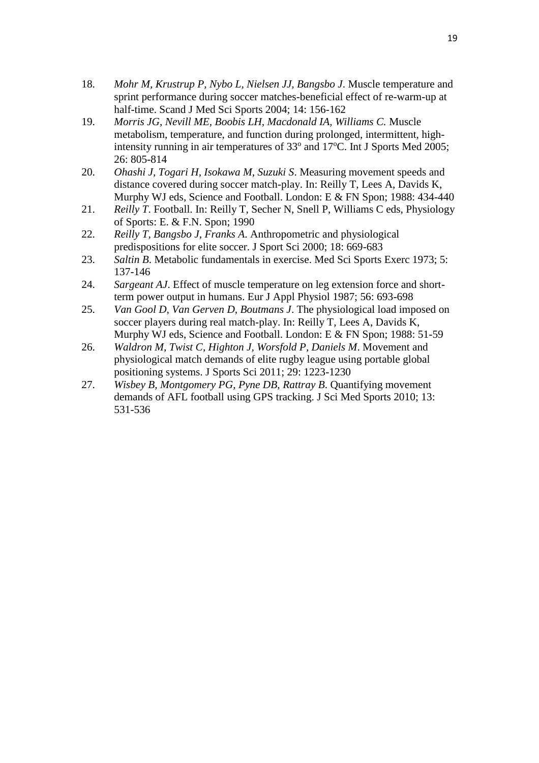- 18. *Mohr M, Krustrup P, Nybo L, Nielsen JJ, Bangsbo J*. Muscle temperature and sprint performance during soccer matches-beneficial effect of re-warm-up at half-time. Scand J Med Sci Sports 2004; 14: 156-162
- 19. Morris JG, Nevill ME, Boobis LH, Macdonald IA, Williams C. Muscle metabolism, temperature, and function during prolonged, intermittent, highintensity running in air temperatures of  $33^{\circ}$  and  $17^{\circ}$ C. Int J Sports Med 2005; 26: 805-814
- 20. *Ohashi J, Togari H, Isokawa M, Suzuki S*. Measuring movement speeds and distance covered during soccer match-play. In: Reilly T, Lees A, Davids K, Murphy WJ eds, Science and Football. London: E & FN Spon; 1988: 434-440
- 21. *Reilly T*. Football. In: Reilly T, Secher N, Snell P, Williams C eds, Physiology of Sports: E. & F.N. Spon; 1990
- 22. *Reilly T, Bangsbo J, Franks A*. Anthropometric and physiological predispositions for elite soccer. J Sport Sci 2000; 18: 669-683
- 23. *Saltin B*. Metabolic fundamentals in exercise. Med Sci Sports Exerc 1973; 5: 137-146
- 24. *Sargeant AJ*. Effect of muscle temperature on leg extension force and shortterm power output in humans. Eur J Appl Physiol 1987; 56: 693-698
- 25. *Van Gool D, Van Gerven D, Boutmans J*. The physiological load imposed on soccer players during real match-play. In: Reilly T, Lees A, Davids K, Murphy WJ eds, Science and Football. London: E & FN Spon; 1988: 51-59
- 26. *Waldron M, Twist C, Highton J, Worsfold P, Daniels M*. Movement and physiological match demands of elite rugby league using portable global positioning systems. J Sports Sci 2011; 29: 1223-1230
- 27. *Wisbey B, Montgomery PG, Pyne DB, Rattray B*. Quantifying movement demands of AFL football using GPS tracking. J Sci Med Sports 2010; 13: 531-536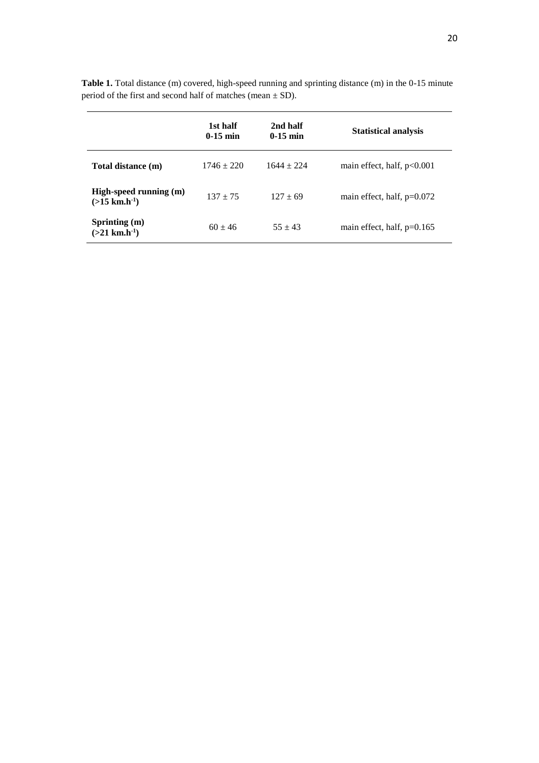|                                                       | 1st half<br>$0-15$ min | 2nd half<br>$0-15$ min | <b>Statistical analysis</b>  |
|-------------------------------------------------------|------------------------|------------------------|------------------------------|
| Total distance (m)                                    | $1746 \pm 220$         | $1644 + 224$           | main effect, half, $p<0.001$ |
| High-speed running (m)<br>$(>15$ km.h <sup>-1</sup> ) | $137 + 75$             | $127 + 69$             | main effect, half, $p=0.072$ |
| Sprinting (m)<br>$(>21$ km.h <sup>-1</sup> )          | $60 + 46$              | $55 + 43$              | main effect, half, $p=0.165$ |

**Table 1.** Total distance (m) covered, high-speed running and sprinting distance (m) in the 0-15 minute period of the first and second half of matches (mean ± SD).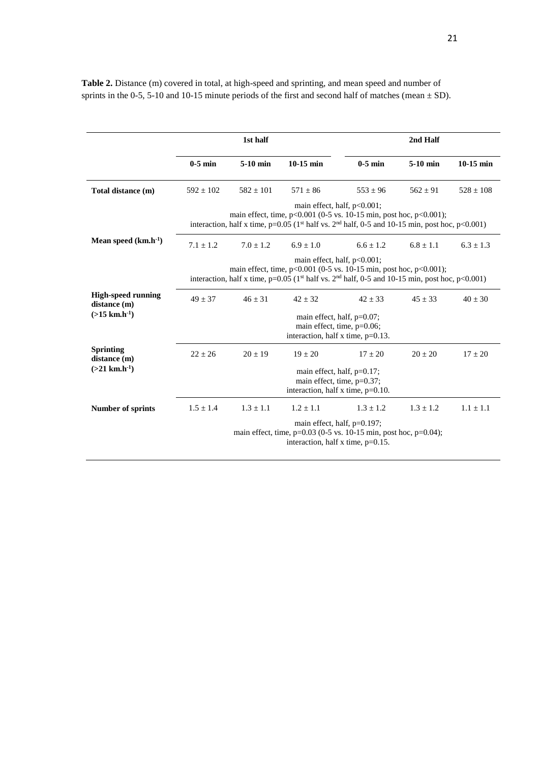|                                           |                                                                                                                                                                                                                                       | 1st half      |               |               | 2nd Half      |               |
|-------------------------------------------|---------------------------------------------------------------------------------------------------------------------------------------------------------------------------------------------------------------------------------------|---------------|---------------|---------------|---------------|---------------|
|                                           | $0-5$ min                                                                                                                                                                                                                             | $5-10$ min    | $10-15$ min   | $0-5$ min     | $5-10$ min    | $10-15$ min   |
| Total distance (m)                        | $592 \pm 102$                                                                                                                                                                                                                         | $582 \pm 101$ | $571 \pm 86$  | $553 \pm 96$  | $562 \pm 91$  | $528 \pm 108$ |
|                                           | main effect, half, p<0.001;<br>main effect, time, $p<0.001$ (0-5 vs. 10-15 min, post hoc, $p<0.001$ );<br>interaction, half x time, $p=0.05$ (1 <sup>st</sup> half vs. 2 <sup>nd</sup> half, 0-5 and 10-15 min, post hoc, $p<0.001$ ) |               |               |               |               |               |
| Mean speed $(km.h^{-1})$                  | $7.1 + 1.2$                                                                                                                                                                                                                           | $7.0 + 1.2$   | $6.9 + 1.0$   | $6.6 + 1.2$   | $6.8 + 1.1$   | $6.3 \pm 1.3$ |
|                                           | main effect, half, p<0.001;<br>main effect, time, $p<0.001$ (0-5 vs. 10-15 min, post hoc, $p<0.001$ );<br>interaction, half x time, $p=0.05$ (1 <sup>st</sup> half vs. 2 <sup>nd</sup> half, 0-5 and 10-15 min, post hoc, $p<0.001$ ) |               |               |               |               |               |
| <b>High-speed running</b><br>distance (m) | $49 \pm 37$                                                                                                                                                                                                                           | $46 \pm 31$   | $42 \pm 32$   | $42 \pm 33$   | $45 \pm 33$   | $40 \pm 30$   |
| $(>15$ km,h <sup>-1</sup> )               | main effect, half, $p=0.07$ ;<br>main effect, time, p=0.06;<br>interaction, half x time, $p=0.13$ .                                                                                                                                   |               |               |               |               |               |
| <b>Sprinting</b><br>distance (m)          | $22 + 26$                                                                                                                                                                                                                             | $20 \pm 19$   | $19 \pm 20$   | $17 \pm 20$   | $20 + 20$     | $17 \pm 20$   |
| $(>21$ km, h <sup>-1</sup> )              | main effect, half, $p=0.17$ ;<br>main effect, time, p=0.37;<br>interaction, half x time, $p=0.10$ .                                                                                                                                   |               |               |               |               |               |
| <b>Number of sprints</b>                  | $1.5 \pm 1.4$                                                                                                                                                                                                                         | $1.3 \pm 1.1$ | $1.2 \pm 1.1$ | $1.3 \pm 1.2$ | $1.3 \pm 1.2$ | $1.1 \pm 1.1$ |
|                                           | main effect, half, $p=0.197$ ;<br>main effect, time, $p=0.03$ (0-5 vs. 10-15 min, post hoc, $p=0.04$ );<br>interaction, half x time, $p=0.15$ .                                                                                       |               |               |               |               |               |

**Table 2.** Distance (m) covered in total, at high-speed and sprinting, and mean speed and number of sprints in the 0-5, 5-10 and 10-15 minute periods of the first and second half of matches (mean  $\pm$  SD).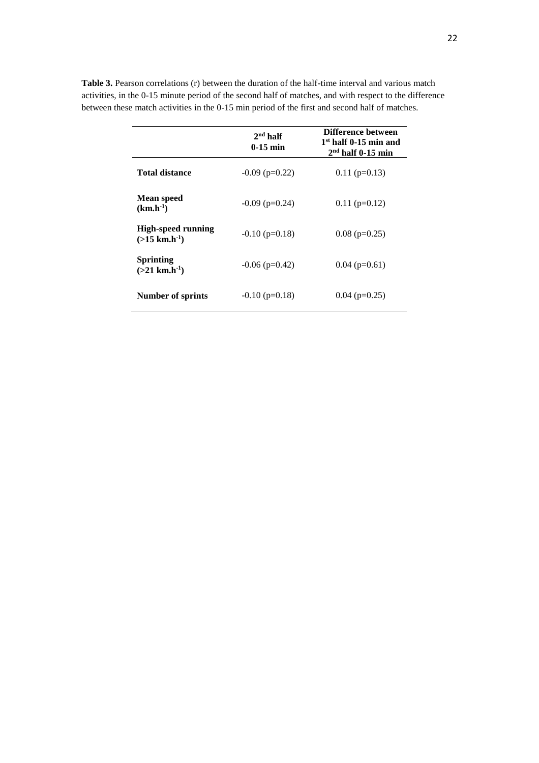|                                                          | $2nd$ half<br>$0-15$ min | Difference between<br>$1st$ half 0-15 min and<br>$2nd$ half 0-15 min |  |
|----------------------------------------------------------|--------------------------|----------------------------------------------------------------------|--|
| <b>Total distance</b>                                    | $-0.09$ (p=0.22)         | $0.11$ (p=0.13)                                                      |  |
| <b>Mean speed</b><br>$(km.h^{-1})$                       | $-0.09$ (p=0.24)         | $0.11$ (p=0.12)                                                      |  |
| <b>High-speed running</b><br>$(>15$ km.h <sup>-1</sup> ) | $-0.10$ (p=0.18)         | $0.08$ (p=0.25)                                                      |  |
| <b>Sprinting</b><br>$(>21$ km,h <sup>-1</sup> )          | $-0.06$ (p=0.42)         | $0.04$ (p=0.61)                                                      |  |
| Number of sprints                                        | $-0.10$ (p=0.18)         | $0.04$ (p=0.25)                                                      |  |

Table 3. Pearson correlations (r) between the duration of the half-time interval and various match activities, in the 0-15 minute period of the second half of matches, and with respect to the difference between these match activities in the 0-15 min period of the first and second half of matches.